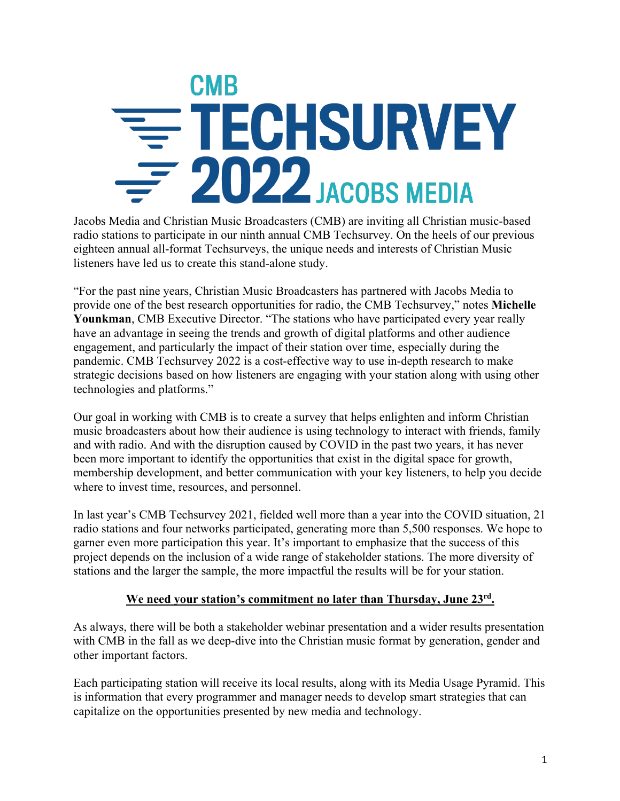## **CMB** = TECHSURVEY  $-2022$  JACOBS MEDIA

Jacobs Media and Christian Music Broadcasters (CMB) are inviting all Christian music-based radio stations to participate in our ninth annual CMB Techsurvey. On the heels of our previous eighteen annual all-format Techsurveys, the unique needs and interests of Christian Music listeners have led us to create this stand-alone study.

"For the past nine years, Christian Music Broadcasters has partnered with Jacobs Media to provide one of the best research opportunities for radio, the CMB Techsurvey," notes **Michelle Younkman**, CMB Executive Director. "The stations who have participated every year really have an advantage in seeing the trends and growth of digital platforms and other audience engagement, and particularly the impact of their station over time, especially during the pandemic. CMB Techsurvey 2022 is a cost-effective way to use in-depth research to make strategic decisions based on how listeners are engaging with your station along with using other technologies and platforms."

Our goal in working with CMB is to create a survey that helps enlighten and inform Christian music broadcasters about how their audience is using technology to interact with friends, family and with radio. And with the disruption caused by COVID in the past two years, it has never been more important to identify the opportunities that exist in the digital space for growth, membership development, and better communication with your key listeners, to help you decide where to invest time, resources, and personnel.

In last year's CMB Techsurvey 2021, fielded well more than a year into the COVID situation, 21 radio stations and four networks participated, generating more than 5,500 responses. We hope to garner even more participation this year. It's important to emphasize that the success of this project depends on the inclusion of a wide range of stakeholder stations. The more diversity of stations and the larger the sample, the more impactful the results will be for your station.

## **We need your station's commitment no later than Thursday, June 23rd.**

As always, there will be both a stakeholder webinar presentation and a wider results presentation with CMB in the fall as we deep-dive into the Christian music format by generation, gender and other important factors.

Each participating station will receive its local results, along with its Media Usage Pyramid. This is information that every programmer and manager needs to develop smart strategies that can capitalize on the opportunities presented by new media and technology.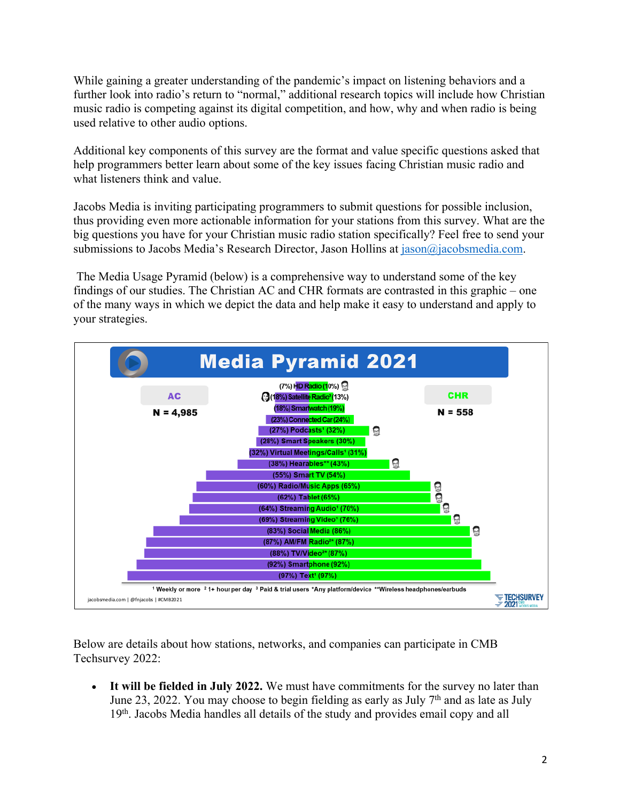While gaining a greater understanding of the pandemic's impact on listening behaviors and a further look into radio's return to "normal," additional research topics will include how Christian music radio is competing against its digital competition, and how, why and when radio is being used relative to other audio options.

Additional key components of this survey are the format and value specific questions asked that help programmers better learn about some of the key issues facing Christian music radio and what listeners think and value.

Jacobs Media is inviting participating programmers to submit questions for possible inclusion, thus providing even more actionable information for your stations from this survey. What are the big questions you have for your Christian music radio station specifically? Feel free to send your submissions to Jacobs Media's Research Director, Jason Hollins at jason@jacobsmedia.com.

The Media Usage Pyramid (below) is a comprehensive way to understand some of the key findings of our studies. The Christian AC and CHR formats are contrasted in this graphic – one of the many ways in which we depict the data and help make it easy to understand and apply to your strategies.



Below are details about how stations, networks, and companies can participate in CMB Techsurvey 2022:

• **It will be fielded in July 2022.** We must have commitments for the survey no later than June 23, 2022. You may choose to begin fielding as early as July  $7<sup>th</sup>$  and as late as July 19<sup>th</sup>. Jacobs Media handles all details of the study and provides email copy and all